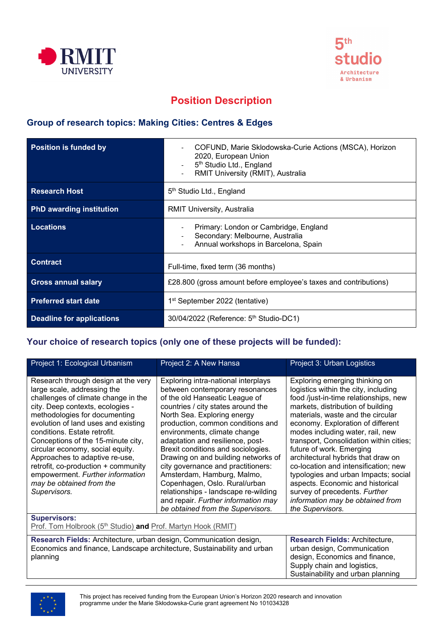



# **Position Description**

### **Group of research topics: Making Cities: Centres & Edges**

| <b>Position is funded by</b>    | COFUND, Marie Sklodowska-Curie Actions (MSCA), Horizon<br>2020, European Union<br>5 <sup>th</sup> Studio Ltd., England<br>RMIT University (RMIT), Australia |
|---------------------------------|-------------------------------------------------------------------------------------------------------------------------------------------------------------|
| <b>Research Host</b>            | 5 <sup>th</sup> Studio Ltd., England                                                                                                                        |
| <b>PhD awarding institution</b> | RMIT University, Australia                                                                                                                                  |
| <b>Locations</b>                | Primary: London or Cambridge, England<br>Secondary: Melbourne, Australia<br>Annual workshops in Barcelona, Spain                                            |
| <b>Contract</b>                 | Full-time, fixed term (36 months)                                                                                                                           |
| <b>Gross annual salary</b>      | £28.800 (gross amount before employee's taxes and contributions)                                                                                            |
| <b>Preferred start date</b>     | 1 <sup>st</sup> September 2022 (tentative)                                                                                                                  |
| Deadline for applications       | 30/04/2022 (Reference: 5 <sup>th</sup> Studio-DC1)                                                                                                          |

### **Your choice of research topics (only one of these projects will be funded):**

| Project 1: Ecological Urbanism                                                                                                                                                                                                                                                                                                                                                                                                                                                           | Project 2: A New Hansa                                                                                                                                                                                                                                                                                                                                                                                                                                                                                                                                                                       | Project 3: Urban Logistics                                                                                                                                                                                                                                                                                                                                                                                                                                                                                                                                                                   |  |
|------------------------------------------------------------------------------------------------------------------------------------------------------------------------------------------------------------------------------------------------------------------------------------------------------------------------------------------------------------------------------------------------------------------------------------------------------------------------------------------|----------------------------------------------------------------------------------------------------------------------------------------------------------------------------------------------------------------------------------------------------------------------------------------------------------------------------------------------------------------------------------------------------------------------------------------------------------------------------------------------------------------------------------------------------------------------------------------------|----------------------------------------------------------------------------------------------------------------------------------------------------------------------------------------------------------------------------------------------------------------------------------------------------------------------------------------------------------------------------------------------------------------------------------------------------------------------------------------------------------------------------------------------------------------------------------------------|--|
| Research through design at the very<br>large scale, addressing the<br>challenges of climate change in the<br>city. Deep contexts, ecologies -<br>methodologies for documenting<br>evolution of land uses and existing<br>conditions. Estate retrofit.<br>Conceptions of the 15-minute city,<br>circular economy, social equity.<br>Approaches to adaptive re-use,<br>retrofit, co-production + community<br>empowerment. Further information<br>may be obtained from the<br>Supervisors. | Exploring intra-national interplays<br>between contemporary resonances<br>of the old Hanseatic League of<br>countries / city states around the<br>North Sea. Exploring energy<br>production, common conditions and<br>environments, climate change<br>adaptation and resilience, post-<br>Brexit conditions and sociologies.<br>Drawing on and building networks of<br>city governance and practitioners:<br>Amsterdam, Hamburg, Malmo,<br>Copenhagen, Oslo. Rural/urban<br>relationships - landscape re-wilding<br>and repair. Further information may<br>be obtained from the Supervisors. | Exploring emerging thinking on<br>logistics within the city, including<br>food /just-in-time relationships, new<br>markets, distribution of building<br>materials, waste and the circular<br>economy. Exploration of different<br>modes including water, rail, new<br>transport, Consolidation within cities;<br>future of work. Emerging<br>architectural hybrids that draw on<br>co-location and intensification; new<br>typologies and urban Impacts; social<br>aspects. Economic and historical<br>survey of precedents. Further<br>information may be obtained from<br>the Supervisors. |  |
| <b>Supervisors:</b><br>Prof. Tom Holbrook (5 <sup>th</sup> Studio) and Prof. Martyn Hook (RMIT)                                                                                                                                                                                                                                                                                                                                                                                          |                                                                                                                                                                                                                                                                                                                                                                                                                                                                                                                                                                                              |                                                                                                                                                                                                                                                                                                                                                                                                                                                                                                                                                                                              |  |
| Research Fields: Architecture, urban design, Communication design,<br>Economics and finance, Landscape architecture, Sustainability and urban<br>planning                                                                                                                                                                                                                                                                                                                                |                                                                                                                                                                                                                                                                                                                                                                                                                                                                                                                                                                                              | Research Fields: Architecture,<br>urban design, Communication<br>design, Economics and finance,<br>Supply chain and logistics,<br>Sustainability and urban planning                                                                                                                                                                                                                                                                                                                                                                                                                          |  |

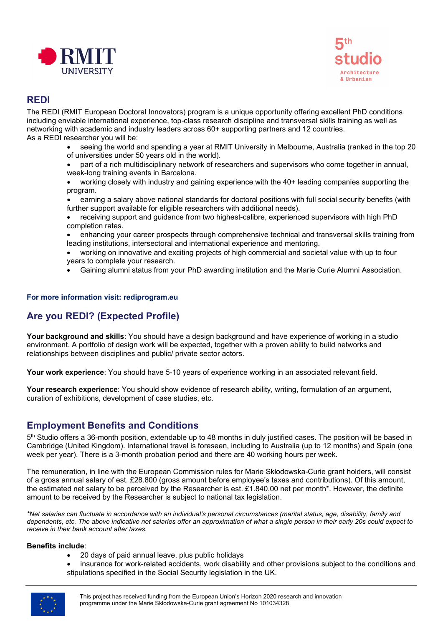



### **REDI**

The REDI (RMIT European Doctoral Innovators) program is a unique opportunity offering excellent PhD conditions including enviable international experience, top-class research discipline and transversal skills training as well as networking with academic and industry leaders across 60+ supporting partners and 12 countries. As a REDI researcher you will be:

- seeing the world and spending a year at RMIT University in Melbourne, Australia (ranked in the top 20 of universities under 50 years old in the world).
- part of a rich multidisciplinary network of researchers and supervisors who come together in annual, week-long training events in Barcelona.
- working closely with industry and gaining experience with the 40+ leading companies supporting the program.
- earning a salary above national standards for doctoral positions with full social security benefits (with further support available for eligible researchers with additional needs).
- receiving support and guidance from two highest-calibre, experienced supervisors with high PhD completion rates.
- enhancing your career prospects through comprehensive technical and transversal skills training from leading institutions, intersectoral and international experience and mentoring.
- working on innovative and exciting projects of high commercial and societal value with up to four years to complete your research.
- Gaining alumni status from your PhD awarding institution and the Marie Curie Alumni Association.

#### **For more information visit: rediprogram.eu**

## **Are you REDI? (Expected Profile)**

**Your background and skills**: You should have a design background and have experience of working in a studio environment. A portfolio of design work will be expected, together with a proven ability to build networks and relationships between disciplines and public/ private sector actors.

**Your work experience**: You should have 5-10 years of experience working in an associated relevant field.

**Your research experience**: You should show evidence of research ability, writing, formulation of an argument, curation of exhibitions, development of case studies, etc.

### **Employment Benefits and Conditions**

5<sup>th</sup> Studio offers a 36-month position, extendable up to 48 months in duly justified cases. The position will be based in Cambridge (United Kingdom). International travel is foreseen, including to Australia (up to 12 months) and Spain (one week per year). There is a 3-month probation period and there are 40 working hours per week.

The remuneration, in line with the European Commission rules for Marie Skłodowska-Curie grant holders, will consist of a gross annual salary of est. £28.800 (gross amount before employee's taxes and contributions). Of this amount, the estimated net salary to be perceived by the Researcher is est. £1.840,00 net per month\*. However, the definite amount to be received by the Researcher is subject to national tax legislation.

*\*Net salaries can fluctuate in accordance with an individual's personal circumstances (marital status, age, disability, family and dependents, etc. The above indicative net salaries offer an approximation of what a single person in their early 20s could expect to receive in their bank account after taxes.*

#### **Benefits include**:

- 20 days of paid annual leave, plus public holidays
- insurance for work-related accidents, work disability and other provisions subject to the conditions and stipulations specified in the Social Security legislation in the UK.

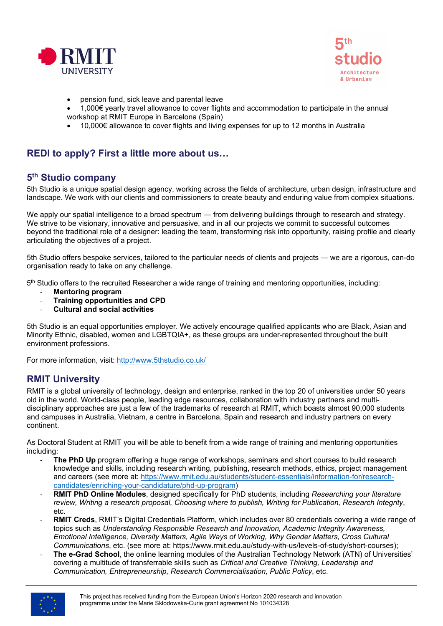



- pension fund, sick leave and parental leave
- 1,000€ yearly travel allowance to cover flights and accommodation to participate in the annual workshop at RMIT Europe in Barcelona (Spain)
- 10,000€ allowance to cover flights and living expenses for up to 12 months in Australia

### **REDI to apply? First a little more about us…**

### **5th Studio company**

5th Studio is a unique spatial design agency, working across the fields of architecture, urban design, infrastructure and landscape. We work with our clients and commissioners to create beauty and enduring value from complex situations.

We apply our spatial intelligence to a broad spectrum — from delivering buildings through to research and strategy. We strive to be visionary, innovative and persuasive, and in all our projects we commit to successful outcomes beyond the traditional role of a designer: leading the team, transforming risk into opportunity, raising profile and clearly articulating the objectives of a project.

5th Studio offers bespoke services, tailored to the particular needs of clients and projects — we are a rigorous, can-do organisation ready to take on any challenge.

5th Studio offers to the recruited Researcher a wide range of training and mentoring opportunities, including:

- **Mentoring program**
- **Training opportunities and CPD**
- **Cultural and social activities**

5th Studio is an equal opportunities employer. We actively encourage qualified applicants who are Black, Asian and Minority Ethnic, disabled, women and LGBTQIA+, as these groups are under-represented throughout the built environment professions.

For more information, visit: [http://www.5thstudio.co.uk/](https://www.5thstudio.co.uk/)

### **RMIT University**

RMIT is a global university of technology, design and enterprise, ranked in the top 20 of universities under 50 years old in the world. World-class people, leading edge resources, collaboration with industry partners and multidisciplinary approaches are just a few of the trademarks of research at RMIT, which boasts almost 90,000 students and campuses in Australia, Vietnam, a centre in Barcelona, Spain and research and industry partners on every continent.

As Doctoral Student at RMIT you will be able to benefit from a wide range of training and mentoring opportunities including:

- **The PhD Up** program offering a huge range of workshops, seminars and short courses to build research knowledge and skills, including research writing, publishing, research methods, ethics, project management and careers (see more at: [https://www.rmit.edu.au/students/student](https://www.rmit.edu.au/students/student-essentials/information-for/research-candidates/enriching-your-candidature/phd-up-program)-essentials/information-for/research[candidates/enriching-your-candidature/phd-up-program\)](https://www.rmit.edu.au/students/student-essentials/information-for/research-candidates/enriching-your-candidature/phd-up-program)
- **RMIT PhD Online Modules**, designed specifically for PhD students, including *Researching your literature review, Writing a research proposal, Choosing where to publish, Writing for Publication, Research Integrity*, etc.
- **RMIT Creds**, RMIT's Digital Credentials Platform, which includes over 80 credentials covering a wide range of topics such as *Understanding Responsible Research and Innovation, Academic Integrity Awareness, Emotional Intelligence, Diversity Matters, Agile Ways of Working, Why Gender Matters, Cross Cultural Communications*, etc. (see more at: https://www.rmit.edu.au/study-with-us/levels-of-study/short-courses);
- The e-Grad School, the online learning modules of the Australian Technology Network (ATN) of Universities' covering a multitude of transferrable skills such as *Critical and Creative Thinking, Leadership and Communication, Entrepreneurship, Research Commercialisation, Public Policy*, etc.

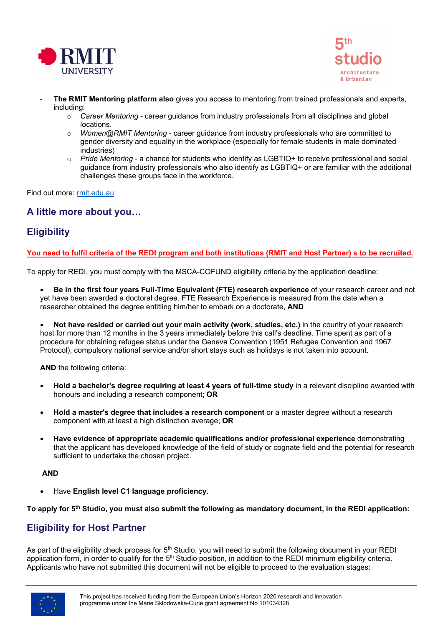



- **The RMIT Mentoring platform also** gives you access to mentoring from trained professionals and experts, including:
	- o *Career Mentoring* career guidance from industry professionals from all disciplines and global locations.
	- o *Women@RMIT Mentoring* career guidance from industry professionals who are committed to gender diversity and equality in the workplace (especially for female students in male dominated industries)
	- o *Pride Mentoring* a chance for students who identify as LGBTIQ+ to receive professional and social guidance from industry professionals who also identify as LGBTIQ+ or are familiar with the additional challenges these groups face in the workforce.

Find out more: [rmit.edu.au](https://www.rmit.edu.au/)

### **A little more about you…**

## **Eligibility**

#### **You need to fulfil criteria of the REDI program and both institutions (RMIT and Host Partner) s to be recruited.**

To apply for REDI, you must comply with the MSCA-COFUND eligibility criteria by the application deadline:

- **Be in the first four years Full-Time Equivalent (FTE) research experience** of your research career and not yet have been awarded a doctoral degree. FTE Research Experience is measured from the date when a researcher obtained the degree entitling him/her to embark on a doctorate, **AND**
- **Not have resided or carried out your main activity (work, studies, etc.)** in the country of your research host for more than 12 months in the 3 years immediately before this call's deadline. Time spent as part of a procedure for obtaining refugee status under the Geneva Convention (1951 Refugee Convention and 1967 Protocol), compulsory national service and/or short stays such as holidays is not taken into account.

**AND** the following criteria:

- **Hold a bachelor's degree requiring at least 4 years of full-time study** in a relevant discipline awarded with honours and including a research component; **OR**
- **Hold a master's degree that includes a research component** or a master degree without a research component with at least a high distinction average; **OR**
- **Have evidence of appropriate academic qualifications and/or professional experience** demonstrating that the applicant has developed knowledge of the field of study or cognate field and the potential for research sufficient to undertake the chosen project.

#### **AND**

• Have **English level C1 language proficiency**.

**To apply for 5th Studio, you must also submit the following as mandatory document, in the REDI application:**

### **Eligibility for Host Partner**

As part of the eligibility check process for 5<sup>th</sup> Studio, you will need to submit the following document in your REDI application form, in order to qualify for the 5<sup>th</sup> Studio position, in addition to the REDI minimum eligibility criteria. Applicants who have not submitted this document will not be eligible to proceed to the evaluation stages: